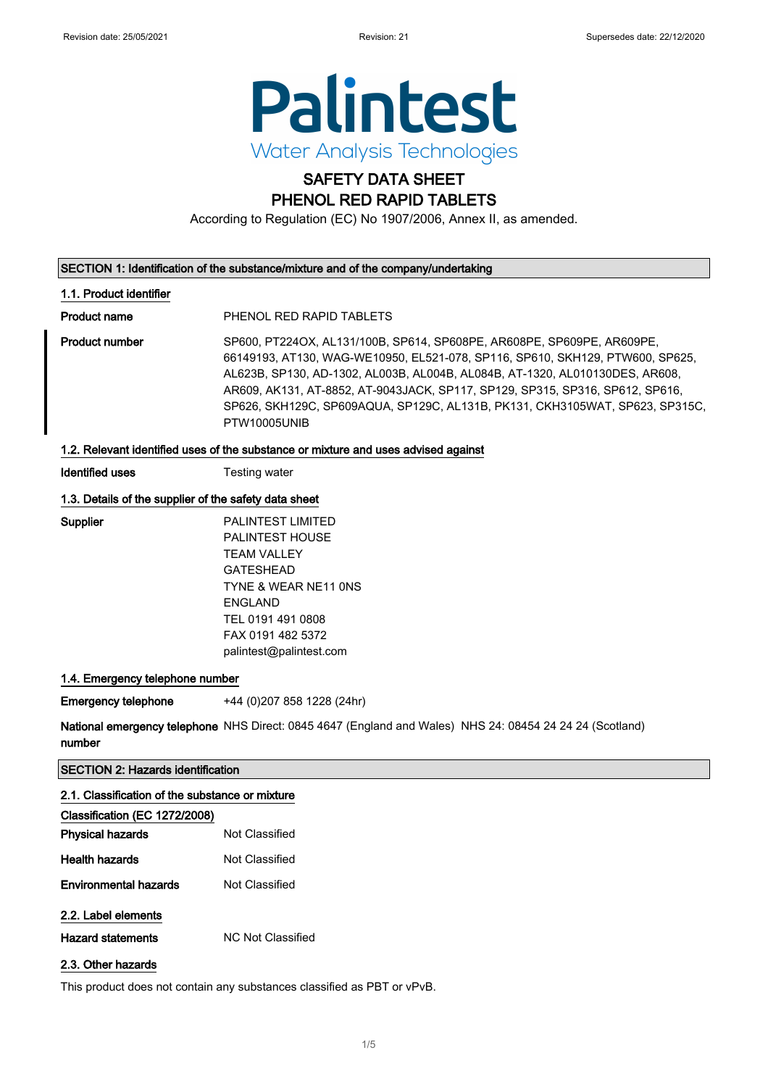

## SAFETY DATA SHEET PHENOL RED RAPID TABLETS

According to Regulation (EC) No 1907/2006, Annex II, as amended.

#### SECTION 1: Identification of the substance/mixture and of the company/undertaking

#### 1.1. Product identifier

Product name PHENOL RED RAPID TABLETS

Product number SP600, PT224OX, AL131/100B, SP614, SP608PE, AR608PE, SP609PE, AR609PE, 66149193, AT130, WAG-WE10950, EL521-078, SP116, SP610, SKH129, PTW600, SP625, AL623B, SP130, AD-1302, AL003B, AL004B, AL084B, AT-1320, AL010130DES, AR608, AR609, AK131, AT-8852, AT-9043JACK, SP117, SP129, SP315, SP316, SP612, SP616, SP626, SKH129C, SP609AQUA, SP129C, AL131B, PK131, CKH3105WAT, SP623, SP315C, PTW10005UNIB

#### 1.2. Relevant identified uses of the substance or mixture and uses advised against

Identified uses Testing water

#### 1.3. Details of the supplier of the safety data sheet

Supplier PALINTEST LIMITED PALINTEST HOUSE TEAM VALLEY GATESHEAD TYNE & WEAR NE11 0NS ENGLAND TEL 0191 491 0808 FAX 0191 482 5372 palintest@palintest.com

#### 1.4. Emergency telephone number

Emergency telephone +44 (0)207 858 1228 (24hr)

**National emergency telephone** NHS Direct: 0845 4647 (England and Wales) NHS 24: 08454 24 24 24 (Scotland) number

#### SECTION 2: Hazards identification

#### 2.1. Classification of the substance or mixture

| Classification (EC 1272/2008)   |                                                                                                                                                                                                                                                                                                                                    |
|---------------------------------|------------------------------------------------------------------------------------------------------------------------------------------------------------------------------------------------------------------------------------------------------------------------------------------------------------------------------------|
| <b>Physical hazards</b>         | Not Classified                                                                                                                                                                                                                                                                                                                     |
| Health hazards                  | Not Classified                                                                                                                                                                                                                                                                                                                     |
| <b>Environmental hazards</b>    | Not Classified                                                                                                                                                                                                                                                                                                                     |
| 2.2. Label elements             |                                                                                                                                                                                                                                                                                                                                    |
| الملامين ومحافظ والمستور والملا | $\mathbf{N}$ $\mathbf{N}$ $\mathbf{N}$ $\mathbf{N}$ $\mathbf{N}$ $\mathbf{N}$ $\mathbf{N}$ $\mathbf{N}$ $\mathbf{N}$ $\mathbf{N}$ $\mathbf{N}$ $\mathbf{N}$ $\mathbf{N}$ $\mathbf{N}$ $\mathbf{N}$ $\mathbf{N}$ $\mathbf{N}$ $\mathbf{N}$ $\mathbf{N}$ $\mathbf{N}$ $\mathbf{N}$ $\mathbf{N}$ $\mathbf{N}$ $\mathbf{N}$ $\mathbf{$ |

- Hazard statements MC Not Classified
- 2.3. Other hazards

This product does not contain any substances classified as PBT or vPvB.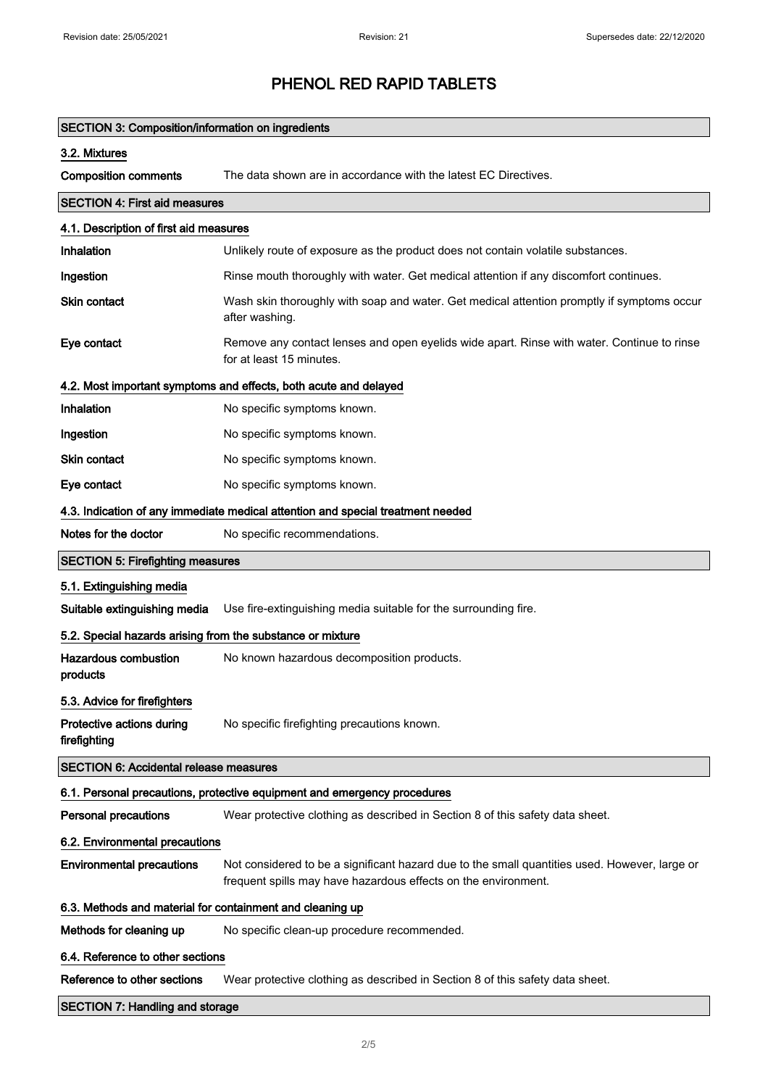| <b>SECTION 3: Composition/information on ingredients</b>   |                                                                                                                                                                 |  |  |  |  |
|------------------------------------------------------------|-----------------------------------------------------------------------------------------------------------------------------------------------------------------|--|--|--|--|
| 3.2. Mixtures                                              |                                                                                                                                                                 |  |  |  |  |
| <b>Composition comments</b>                                | The data shown are in accordance with the latest EC Directives.                                                                                                 |  |  |  |  |
| <b>SECTION 4: First aid measures</b>                       |                                                                                                                                                                 |  |  |  |  |
| 4.1. Description of first aid measures                     |                                                                                                                                                                 |  |  |  |  |
| <b>Inhalation</b>                                          | Unlikely route of exposure as the product does not contain volatile substances.                                                                                 |  |  |  |  |
| Ingestion                                                  | Rinse mouth thoroughly with water. Get medical attention if any discomfort continues.                                                                           |  |  |  |  |
| <b>Skin contact</b>                                        | Wash skin thoroughly with soap and water. Get medical attention promptly if symptoms occur<br>after washing.                                                    |  |  |  |  |
| Eye contact                                                | Remove any contact lenses and open eyelids wide apart. Rinse with water. Continue to rinse<br>for at least 15 minutes.                                          |  |  |  |  |
|                                                            | 4.2. Most important symptoms and effects, both acute and delayed                                                                                                |  |  |  |  |
| <b>Inhalation</b>                                          | No specific symptoms known.                                                                                                                                     |  |  |  |  |
| Ingestion                                                  | No specific symptoms known.                                                                                                                                     |  |  |  |  |
| Skin contact                                               | No specific symptoms known.                                                                                                                                     |  |  |  |  |
| Eye contact                                                | No specific symptoms known.                                                                                                                                     |  |  |  |  |
|                                                            | 4.3. Indication of any immediate medical attention and special treatment needed                                                                                 |  |  |  |  |
| Notes for the doctor                                       | No specific recommendations.                                                                                                                                    |  |  |  |  |
| <b>SECTION 5: Firefighting measures</b>                    |                                                                                                                                                                 |  |  |  |  |
| 5.1. Extinguishing media                                   |                                                                                                                                                                 |  |  |  |  |
| Suitable extinguishing media                               | Use fire-extinguishing media suitable for the surrounding fire.                                                                                                 |  |  |  |  |
| 5.2. Special hazards arising from the substance or mixture |                                                                                                                                                                 |  |  |  |  |
| <b>Hazardous combustion</b><br>products                    | No known hazardous decomposition products.                                                                                                                      |  |  |  |  |
| 5.3. Advice for firefighters                               |                                                                                                                                                                 |  |  |  |  |
| Protective actions during<br>firefighting                  | No specific firefighting precautions known.                                                                                                                     |  |  |  |  |
| <b>SECTION 6: Accidental release measures</b>              |                                                                                                                                                                 |  |  |  |  |
|                                                            | 6.1. Personal precautions, protective equipment and emergency procedures                                                                                        |  |  |  |  |
| Personal precautions                                       | Wear protective clothing as described in Section 8 of this safety data sheet.                                                                                   |  |  |  |  |
| 6.2. Environmental precautions                             |                                                                                                                                                                 |  |  |  |  |
| <b>Environmental precautions</b>                           | Not considered to be a significant hazard due to the small quantities used. However, large or<br>frequent spills may have hazardous effects on the environment. |  |  |  |  |
| 6.3. Methods and material for containment and cleaning up  |                                                                                                                                                                 |  |  |  |  |
| Methods for cleaning up                                    | No specific clean-up procedure recommended.                                                                                                                     |  |  |  |  |
| 6.4. Reference to other sections                           |                                                                                                                                                                 |  |  |  |  |
| Reference to other sections                                | Wear protective clothing as described in Section 8 of this safety data sheet.                                                                                   |  |  |  |  |
| <b>SECTION 7: Handling and storage</b>                     |                                                                                                                                                                 |  |  |  |  |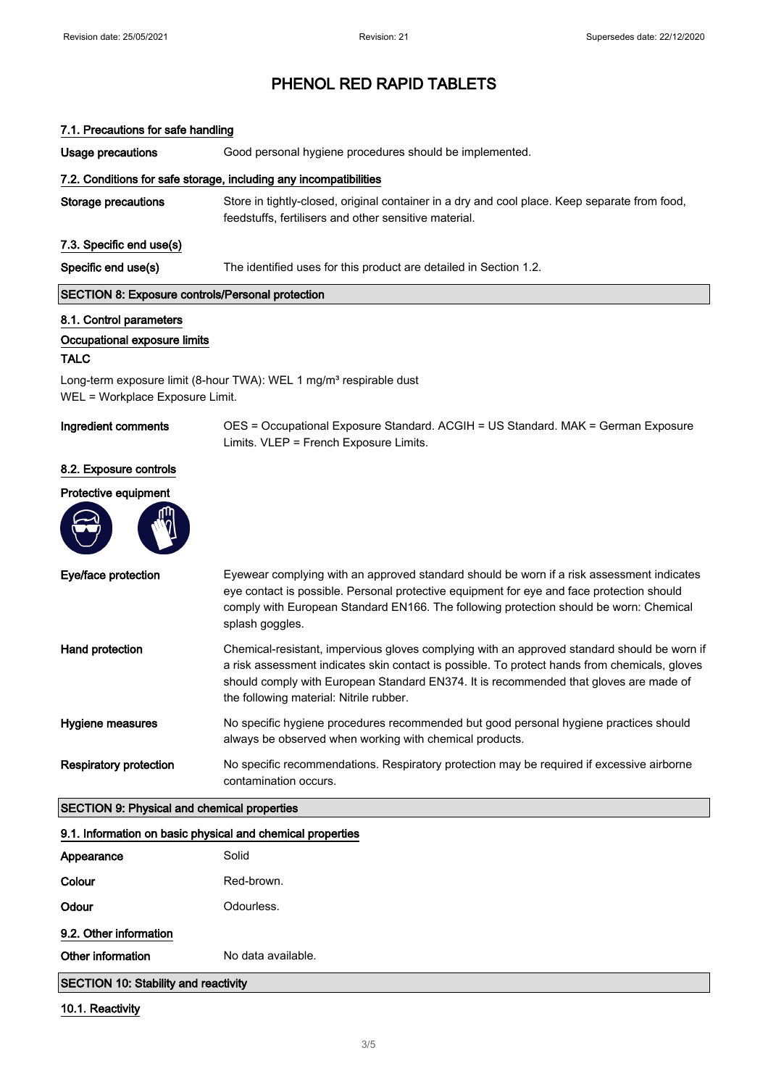| 7.1. Precautions for safe handling |  |
|------------------------------------|--|
|------------------------------------|--|

Usage precautions Good personal hygiene procedures should be implemented.

#### 7.2. Conditions for safe storage, including any incompatibilities

Storage precautions Store in tightly-closed, original container in a dry and cool place. Keep separate from food, feedstuffs, fertilisers and other sensitive material.

#### 7.3. Specific end use(s)

Specific end use(s) The identified uses for this product are detailed in Section 1.2.

#### SECTION 8: Exposure controls/Personal protection

#### 8.1. Control parameters

#### Occupational exposure limits

#### TALC

Long-term exposure limit (8-hour TWA): WEL 1 mg/m<sup>3</sup> respirable dust WEL = Workplace Exposure Limit.

Ingredient comments OES = Occupational Exposure Standard. ACGIH = US Standard. MAK = German Exposure Limits. VLEP = French Exposure Limits.

#### 8.2. Exposure controls

#### Protective equipment



| Eye/face protection           | Eyewear complying with an approved standard should be worn if a risk assessment indicates<br>eye contact is possible. Personal protective equipment for eye and face protection should<br>comply with European Standard EN166. The following protection should be worn: Chemical<br>splash goggles.                              |
|-------------------------------|----------------------------------------------------------------------------------------------------------------------------------------------------------------------------------------------------------------------------------------------------------------------------------------------------------------------------------|
| Hand protection               | Chemical-resistant, impervious gloves complying with an approved standard should be worn if<br>a risk assessment indicates skin contact is possible. To protect hands from chemicals, gloves<br>should comply with European Standard EN374. It is recommended that gloves are made of<br>the following material: Nitrile rubber. |
| Hygiene measures              | No specific hygiene procedures recommended but good personal hygiene practices should<br>always be observed when working with chemical products.                                                                                                                                                                                 |
| <b>Respiratory protection</b> | No specific recommendations. Respiratory protection may be required if excessive airborne<br>contamination occurs.                                                                                                                                                                                                               |

#### SECTION 9: Physical and chemical properties

| 9.1. Information on basic physical and chemical properties |            |  |
|------------------------------------------------------------|------------|--|
| Appearance                                                 | Solid      |  |
| Colour                                                     | Red-brown. |  |
| Odour                                                      | Odourless. |  |
| 9.2. Other information                                     |            |  |
| Other information<br>No data available.                    |            |  |
| SECTION 10: Stability and reactivity                       |            |  |

#### 10.1. Reactivity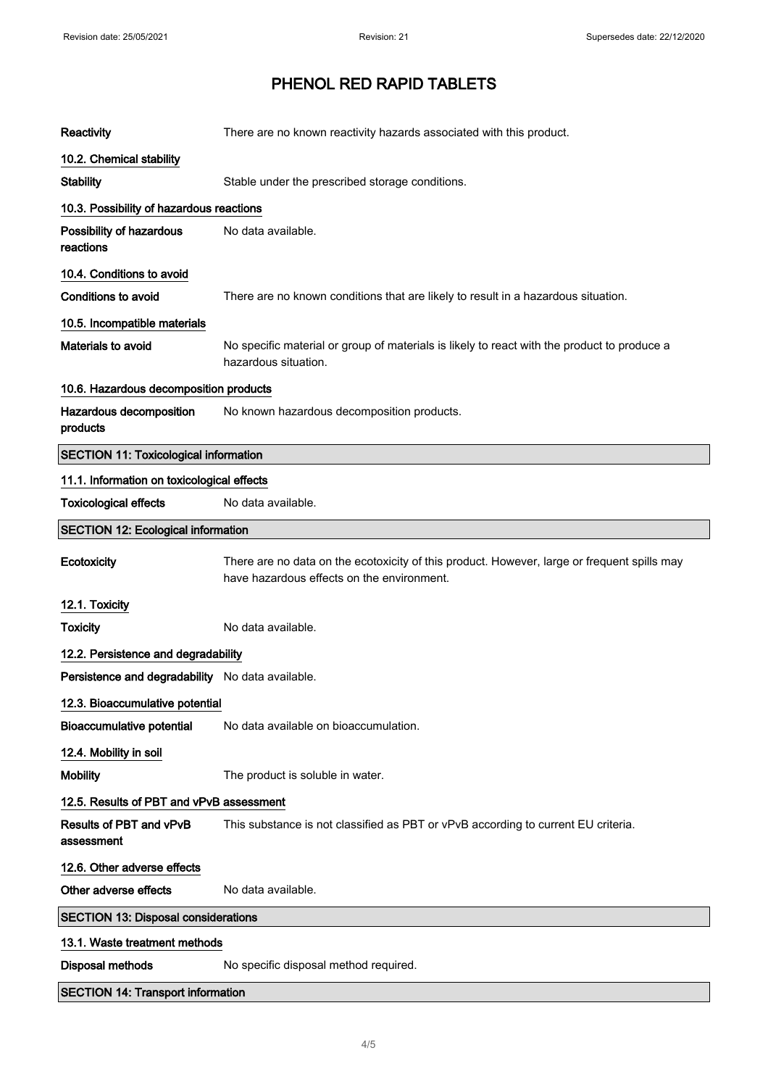| Reactivity                                       | There are no known reactivity hazards associated with this product.                                                                       |  |  |  |  |
|--------------------------------------------------|-------------------------------------------------------------------------------------------------------------------------------------------|--|--|--|--|
| 10.2. Chemical stability                         |                                                                                                                                           |  |  |  |  |
| <b>Stability</b>                                 | Stable under the prescribed storage conditions.                                                                                           |  |  |  |  |
| 10.3. Possibility of hazardous reactions         |                                                                                                                                           |  |  |  |  |
| Possibility of hazardous<br>reactions            | No data available.                                                                                                                        |  |  |  |  |
| 10.4. Conditions to avoid                        |                                                                                                                                           |  |  |  |  |
| Conditions to avoid                              | There are no known conditions that are likely to result in a hazardous situation.                                                         |  |  |  |  |
| 10.5. Incompatible materials                     |                                                                                                                                           |  |  |  |  |
| Materials to avoid                               | No specific material or group of materials is likely to react with the product to produce a<br>hazardous situation.                       |  |  |  |  |
| 10.6. Hazardous decomposition products           |                                                                                                                                           |  |  |  |  |
| Hazardous decomposition<br>products              | No known hazardous decomposition products.                                                                                                |  |  |  |  |
| <b>SECTION 11: Toxicological information</b>     |                                                                                                                                           |  |  |  |  |
| 11.1. Information on toxicological effects       |                                                                                                                                           |  |  |  |  |
| <b>Toxicological effects</b>                     | No data available.                                                                                                                        |  |  |  |  |
| <b>SECTION 12: Ecological information</b>        |                                                                                                                                           |  |  |  |  |
| Ecotoxicity                                      | There are no data on the ecotoxicity of this product. However, large or frequent spills may<br>have hazardous effects on the environment. |  |  |  |  |
| 12.1. Toxicity                                   |                                                                                                                                           |  |  |  |  |
| <b>Toxicity</b>                                  | No data available.                                                                                                                        |  |  |  |  |
| 12.2. Persistence and degradability              |                                                                                                                                           |  |  |  |  |
| Persistence and degradability No data available. |                                                                                                                                           |  |  |  |  |
| 12.3. Bioaccumulative potential                  |                                                                                                                                           |  |  |  |  |
| <b>Bioaccumulative potential</b>                 | No data available on bioaccumulation.                                                                                                     |  |  |  |  |
| 12.4. Mobility in soil                           |                                                                                                                                           |  |  |  |  |
| <b>Mobility</b>                                  | The product is soluble in water.                                                                                                          |  |  |  |  |
| 12.5. Results of PBT and vPvB assessment         |                                                                                                                                           |  |  |  |  |
| <b>Results of PBT and vPvB</b><br>assessment     | This substance is not classified as PBT or vPvB according to current EU criteria.                                                         |  |  |  |  |
| 12.6. Other adverse effects                      |                                                                                                                                           |  |  |  |  |
| Other adverse effects                            | No data available.                                                                                                                        |  |  |  |  |
| <b>SECTION 13: Disposal considerations</b>       |                                                                                                                                           |  |  |  |  |
| 13.1. Waste treatment methods                    |                                                                                                                                           |  |  |  |  |
| <b>Disposal methods</b>                          | No specific disposal method required.                                                                                                     |  |  |  |  |
| <b>SECTION 14: Transport information</b>         |                                                                                                                                           |  |  |  |  |